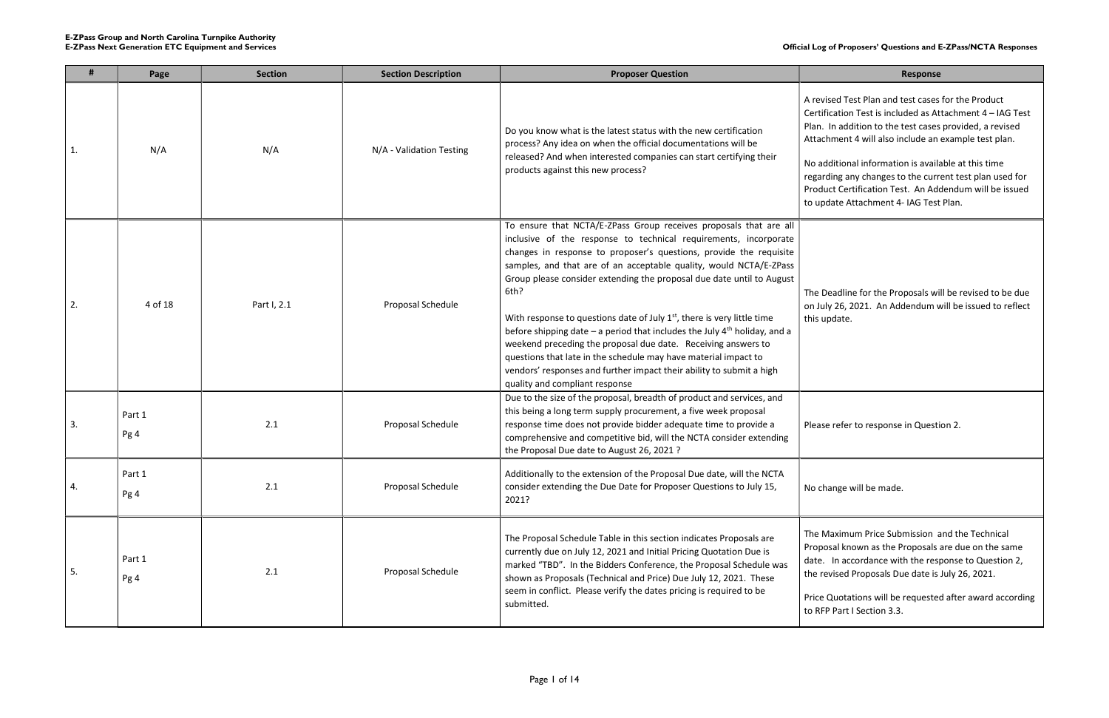evised Test Plan and test cases for the Product rtification Test is included as Attachment 4 - IAG Test n. In addition to the test cases provided, a revised achment 4 will also include an example test plan.

additional information is available at this time zarding any changes to the current test plan used for oduct Certification Test. An Addendum will be issued update Attachment 4- IAG Test Plan.

Deadline for the Proposals will be revised to be due July 26, 2021. An Addendum will be issued to reflect update.

ase refer to response in Question 2.

**Maximum Price Submission and the Technical** posal known as the Proposals are due on the same te. In accordance with the response to Question 2, e revised Proposals Due date is July 26, 2021.

ce Quotations will be requested after award according RFP Part I Section 3.3.

| #  | Page           | <b>Section</b> | <b>Section Description</b> | <b>Proposer Question</b>                                                                                                                                                                                                                                                                                                                                                                                                                                                                                                                                                                                                                                                                                                                                                       | <b>Response</b>                                                                                                                                                                                                                                                                                                    |
|----|----------------|----------------|----------------------------|--------------------------------------------------------------------------------------------------------------------------------------------------------------------------------------------------------------------------------------------------------------------------------------------------------------------------------------------------------------------------------------------------------------------------------------------------------------------------------------------------------------------------------------------------------------------------------------------------------------------------------------------------------------------------------------------------------------------------------------------------------------------------------|--------------------------------------------------------------------------------------------------------------------------------------------------------------------------------------------------------------------------------------------------------------------------------------------------------------------|
| 1. | N/A            | N/A            | N/A - Validation Testing   | Do you know what is the latest status with the new certification<br>process? Any idea on when the official documentations will be<br>released? And when interested companies can start certifying their<br>products against this new process?                                                                                                                                                                                                                                                                                                                                                                                                                                                                                                                                  | A revised Test Plan and test cases t<br>Certification Test is included as Att<br>Plan. In addition to the test cases<br>Attachment 4 will also include an e<br>No additional information is availa<br>regarding any changes to the curre<br>Product Certification Test. An Add<br>to update Attachment 4- IAG Test |
| 2. | 4 of 18        | Part I, 2.1    | Proposal Schedule          | To ensure that NCTA/E-ZPass Group receives proposals that are all<br>inclusive of the response to technical requirements, incorporate<br>changes in response to proposer's questions, provide the requisite<br>samples, and that are of an acceptable quality, would NCTA/E-ZPass<br>Group please consider extending the proposal due date until to August<br>6th?<br>With response to questions date of July $1st$ , there is very little time<br>before shipping date $-$ a period that includes the July $4th$ holiday, and a<br>weekend preceding the proposal due date. Receiving answers to<br>questions that late in the schedule may have material impact to<br>vendors' responses and further impact their ability to submit a high<br>quality and compliant response | The Deadline for the Proposals will<br>on July 26, 2021. An Addendum w<br>this update.                                                                                                                                                                                                                             |
| 3. | Part 1<br>Pg 4 | 2.1            | Proposal Schedule          | Due to the size of the proposal, breadth of product and services, and<br>this being a long term supply procurement, a five week proposal<br>response time does not provide bidder adequate time to provide a<br>comprehensive and competitive bid, will the NCTA consider extending<br>the Proposal Due date to August 26, 2021 ?                                                                                                                                                                                                                                                                                                                                                                                                                                              | Please refer to response in Questic                                                                                                                                                                                                                                                                                |
| 4. | Part 1<br>Pg 4 | 2.1            | Proposal Schedule          | Additionally to the extension of the Proposal Due date, will the NCTA<br>consider extending the Due Date for Proposer Questions to July 15,<br>2021?                                                                                                                                                                                                                                                                                                                                                                                                                                                                                                                                                                                                                           | No change will be made.                                                                                                                                                                                                                                                                                            |
| 5. | Part 1<br>Pg 4 | 2.1            | Proposal Schedule          | The Proposal Schedule Table in this section indicates Proposals are<br>currently due on July 12, 2021 and Initial Pricing Quotation Due is<br>marked "TBD". In the Bidders Conference, the Proposal Schedule was<br>shown as Proposals (Technical and Price) Due July 12, 2021. These<br>seem in conflict. Please verify the dates pricing is required to be<br>submitted.                                                                                                                                                                                                                                                                                                                                                                                                     | The Maximum Price Submission a<br>Proposal known as the Proposals a<br>date. In accordance with the resp<br>the revised Proposals Due date is J<br>Price Quotations will be requested<br>to RFP Part I Section 3.3.                                                                                                |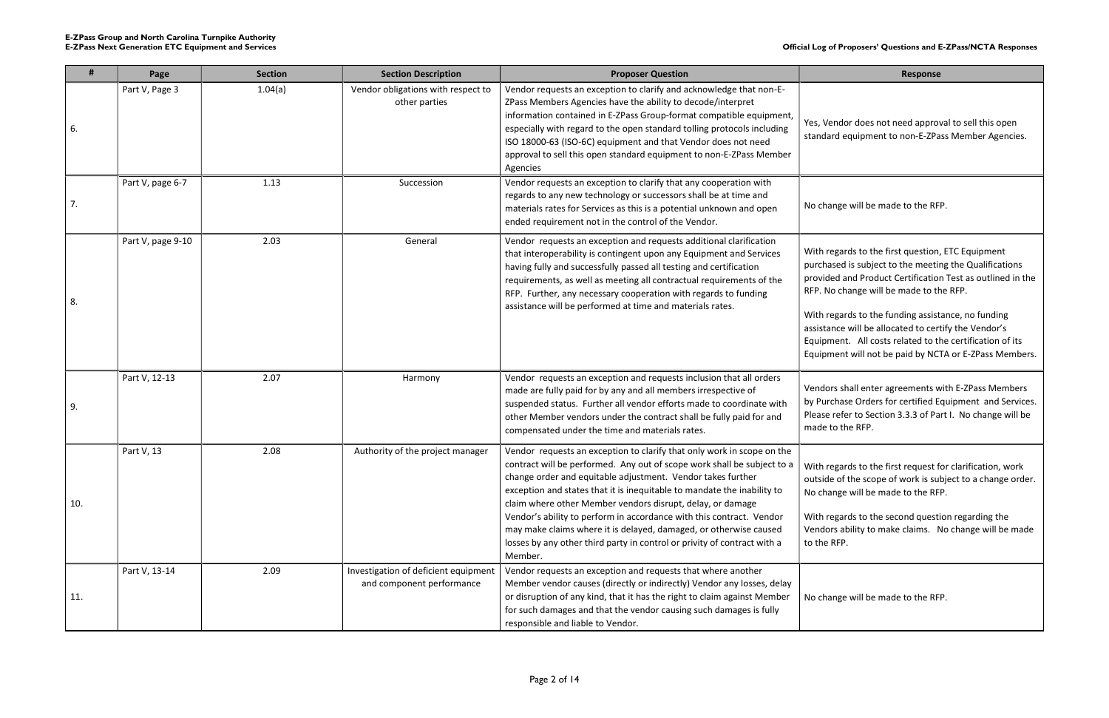| <b>Response</b>                                                                                                                                                                                                                  |
|----------------------------------------------------------------------------------------------------------------------------------------------------------------------------------------------------------------------------------|
| Yes, Vendor does not need approval to sell this open<br>standard equipment to non-E-ZPass Member Agencies.                                                                                                                       |
| No change will be made to the RFP.                                                                                                                                                                                               |
| With regards to the first question, ETC Equipment<br>purchased is subject to the meeting the Qualifications<br>provided and Product Certification Test as outlined in the<br>RFP. No change will be made to the RFP.             |
| With regards to the funding assistance, no funding<br>assistance will be allocated to certify the Vendor's<br>Equipment. All costs related to the certification of its<br>Equipment will not be paid by NCTA or E-ZPass Members. |
| Vendors shall enter agreements with E-ZPass Members<br>by Purchase Orders for certified Equipment and Services.<br>Please refer to Section 3.3.3 of Part I. No change will be                                                    |

th regards to the first request for clarification, work side of the scope of work is subject to a change order. change will be made to the RFP.

th regards to the second question regarding the dors ability to make claims. No change will be made he RFP.

| #   | Page              | <b>Section</b> | <b>Section Description</b>                                        | <b>Proposer Question</b>                                                                                                                                                                                                                                                                                                                                                                                                                                                                                                                                                                      | <b>Response</b>                                                                                                                                                                                                                                                                                                  |
|-----|-------------------|----------------|-------------------------------------------------------------------|-----------------------------------------------------------------------------------------------------------------------------------------------------------------------------------------------------------------------------------------------------------------------------------------------------------------------------------------------------------------------------------------------------------------------------------------------------------------------------------------------------------------------------------------------------------------------------------------------|------------------------------------------------------------------------------------------------------------------------------------------------------------------------------------------------------------------------------------------------------------------------------------------------------------------|
| 6.  | Part V, Page 3    | 1.04(a)        | Vendor obligations with respect to<br>other parties               | Vendor requests an exception to clarify and acknowledge that non-E-<br>ZPass Members Agencies have the ability to decode/interpret<br>information contained in E-ZPass Group-format compatible equipment,<br>especially with regard to the open standard tolling protocols including<br>ISO 18000-63 (ISO-6C) equipment and that Vendor does not need<br>approval to sell this open standard equipment to non-E-ZPass Member<br>Agencies                                                                                                                                                      | Yes, Vendor does not need approv<br>standard equipment to non-E-ZPas                                                                                                                                                                                                                                             |
| 7.  | Part V, page 6-7  | 1.13           | Succession                                                        | Vendor requests an exception to clarify that any cooperation with<br>regards to any new technology or successors shall be at time and<br>materials rates for Services as this is a potential unknown and open<br>ended requirement not in the control of the Vendor.                                                                                                                                                                                                                                                                                                                          | No change will be made to the RFF                                                                                                                                                                                                                                                                                |
| 8.  | Part V, page 9-10 | 2.03           | General                                                           | Vendor requests an exception and requests additional clarification<br>that interoperability is contingent upon any Equipment and Services<br>having fully and successfully passed all testing and certification<br>requirements, as well as meeting all contractual requirements of the<br>RFP. Further, any necessary cooperation with regards to funding<br>assistance will be performed at time and materials rates.                                                                                                                                                                       | With regards to the first question,<br>purchased is subject to the meetin<br>provided and Product Certification<br>RFP. No change will be made to the<br>With regards to the funding assista<br>assistance will be allocated to certi<br>Equipment. All costs related to th<br>Equipment will not be paid by NCT |
| 9.  | Part V, 12-13     | 2.07           | Harmony                                                           | Vendor requests an exception and requests inclusion that all orders<br>made are fully paid for by any and all members irrespective of<br>suspended status. Further all vendor efforts made to coordinate with<br>other Member vendors under the contract shall be fully paid for and<br>compensated under the time and materials rates.                                                                                                                                                                                                                                                       | Vendors shall enter agreements w<br>by Purchase Orders for certified Ec<br>Please refer to Section 3.3.3 of Par<br>made to the RFP.                                                                                                                                                                              |
| 10. | Part V, 13        | 2.08           | Authority of the project manager                                  | Vendor requests an exception to clarify that only work in scope on the<br>contract will be performed. Any out of scope work shall be subject to a<br>change order and equitable adjustment. Vendor takes further<br>exception and states that it is inequitable to mandate the inability to<br>claim where other Member vendors disrupt, delay, or damage<br>Vendor's ability to perform in accordance with this contract. Vendor<br>may make claims where it is delayed, damaged, or otherwise caused<br>losses by any other third party in control or privity of contract with a<br>Member. | With regards to the first request fo<br>outside of the scope of work is sub<br>No change will be made to the RFF<br>With regards to the second questic<br>Vendors ability to make claims. N<br>to the RFP.                                                                                                       |
| 11. | Part V, 13-14     | 2.09           | Investigation of deficient equipment<br>and component performance | Vendor requests an exception and requests that where another<br>Member vendor causes (directly or indirectly) Vendor any losses, delay<br>or disruption of any kind, that it has the right to claim against Member<br>for such damages and that the vendor causing such damages is fully<br>responsible and liable to Vendor.                                                                                                                                                                                                                                                                 | No change will be made to the RFF                                                                                                                                                                                                                                                                                |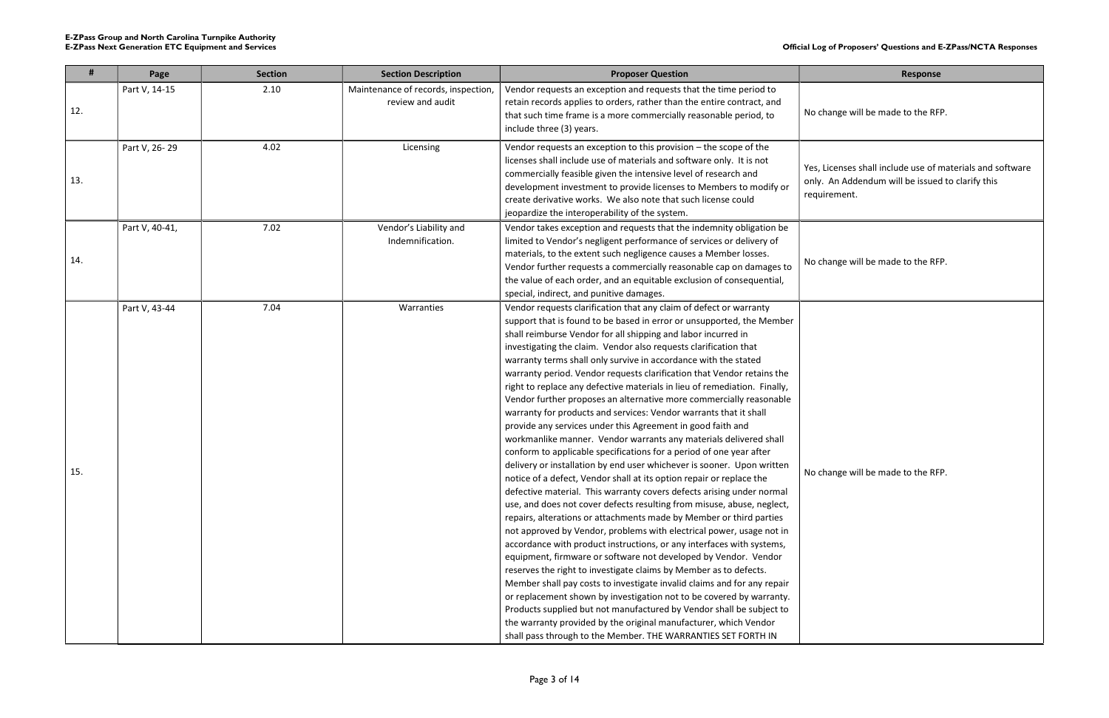s, Licenses shall include use of materials and software lly. An Addendum will be issued to clarify this quirement.

| #   | Page           | <b>Section</b> | <b>Section Description</b>                              | <b>Proposer Question</b>                                                                                                                                                                                                                                                                                                                                                                                                                                                                                                                                                                                                                                                                                                                                                                                                                                                                                                                                                                                                                                                                                                                                                                                                                                                                                                                                                                                                                                                                                                                                                                                                                                                                                                                                                                                                                                                                               | <b>Response</b>                                                                          |
|-----|----------------|----------------|---------------------------------------------------------|--------------------------------------------------------------------------------------------------------------------------------------------------------------------------------------------------------------------------------------------------------------------------------------------------------------------------------------------------------------------------------------------------------------------------------------------------------------------------------------------------------------------------------------------------------------------------------------------------------------------------------------------------------------------------------------------------------------------------------------------------------------------------------------------------------------------------------------------------------------------------------------------------------------------------------------------------------------------------------------------------------------------------------------------------------------------------------------------------------------------------------------------------------------------------------------------------------------------------------------------------------------------------------------------------------------------------------------------------------------------------------------------------------------------------------------------------------------------------------------------------------------------------------------------------------------------------------------------------------------------------------------------------------------------------------------------------------------------------------------------------------------------------------------------------------------------------------------------------------------------------------------------------------|------------------------------------------------------------------------------------------|
| 12. | Part V, 14-15  | 2.10           | Maintenance of records, inspection,<br>review and audit | Vendor requests an exception and requests that the time period to<br>retain records applies to orders, rather than the entire contract, and<br>that such time frame is a more commercially reasonable period, to<br>include three (3) years.                                                                                                                                                                                                                                                                                                                                                                                                                                                                                                                                                                                                                                                                                                                                                                                                                                                                                                                                                                                                                                                                                                                                                                                                                                                                                                                                                                                                                                                                                                                                                                                                                                                           | No change will be made to the RFF                                                        |
| 13. | Part V, 26-29  | 4.02           | Licensing                                               | Vendor requests an exception to this provision - the scope of the<br>licenses shall include use of materials and software only. It is not<br>commercially feasible given the intensive level of research and<br>development investment to provide licenses to Members to modify or<br>create derivative works. We also note that such license could<br>jeopardize the interoperability of the system.                                                                                                                                                                                                                                                                                                                                                                                                                                                                                                                                                                                                                                                                                                                                                                                                                                                                                                                                                                                                                                                                                                                                                                                                                                                                                                                                                                                                                                                                                                  | Yes, Licenses shall include use of m<br>only. An Addendum will be issued<br>requirement. |
| 14. | Part V, 40-41, | 7.02           | Vendor's Liability and<br>Indemnification.              | Vendor takes exception and requests that the indemnity obligation be<br>limited to Vendor's negligent performance of services or delivery of<br>materials, to the extent such negligence causes a Member losses.<br>Vendor further requests a commercially reasonable cap on damages to<br>the value of each order, and an equitable exclusion of consequential,<br>special, indirect, and punitive damages.                                                                                                                                                                                                                                                                                                                                                                                                                                                                                                                                                                                                                                                                                                                                                                                                                                                                                                                                                                                                                                                                                                                                                                                                                                                                                                                                                                                                                                                                                           | No change will be made to the RFF                                                        |
| 15. | Part V, 43-44  | 7.04           | Warranties                                              | Vendor requests clarification that any claim of defect or warranty<br>support that is found to be based in error or unsupported, the Member<br>shall reimburse Vendor for all shipping and labor incurred in<br>investigating the claim. Vendor also requests clarification that<br>warranty terms shall only survive in accordance with the stated<br>warranty period. Vendor requests clarification that Vendor retains the<br>right to replace any defective materials in lieu of remediation. Finally,<br>Vendor further proposes an alternative more commercially reasonable<br>warranty for products and services: Vendor warrants that it shall<br>provide any services under this Agreement in good faith and<br>workmanlike manner. Vendor warrants any materials delivered shall<br>conform to applicable specifications for a period of one year after<br>delivery or installation by end user whichever is sooner. Upon written<br>notice of a defect, Vendor shall at its option repair or replace the<br>defective material. This warranty covers defects arising under normal<br>use, and does not cover defects resulting from misuse, abuse, neglect,<br>repairs, alterations or attachments made by Member or third parties<br>not approved by Vendor, problems with electrical power, usage not in<br>accordance with product instructions, or any interfaces with systems,<br>equipment, firmware or software not developed by Vendor. Vendor<br>reserves the right to investigate claims by Member as to defects.<br>Member shall pay costs to investigate invalid claims and for any repair<br>or replacement shown by investigation not to be covered by warranty.<br>Products supplied but not manufactured by Vendor shall be subject to<br>the warranty provided by the original manufacturer, which Vendor<br>shall pass through to the Member. THE WARRANTIES SET FORTH IN | No change will be made to the RFP                                                        |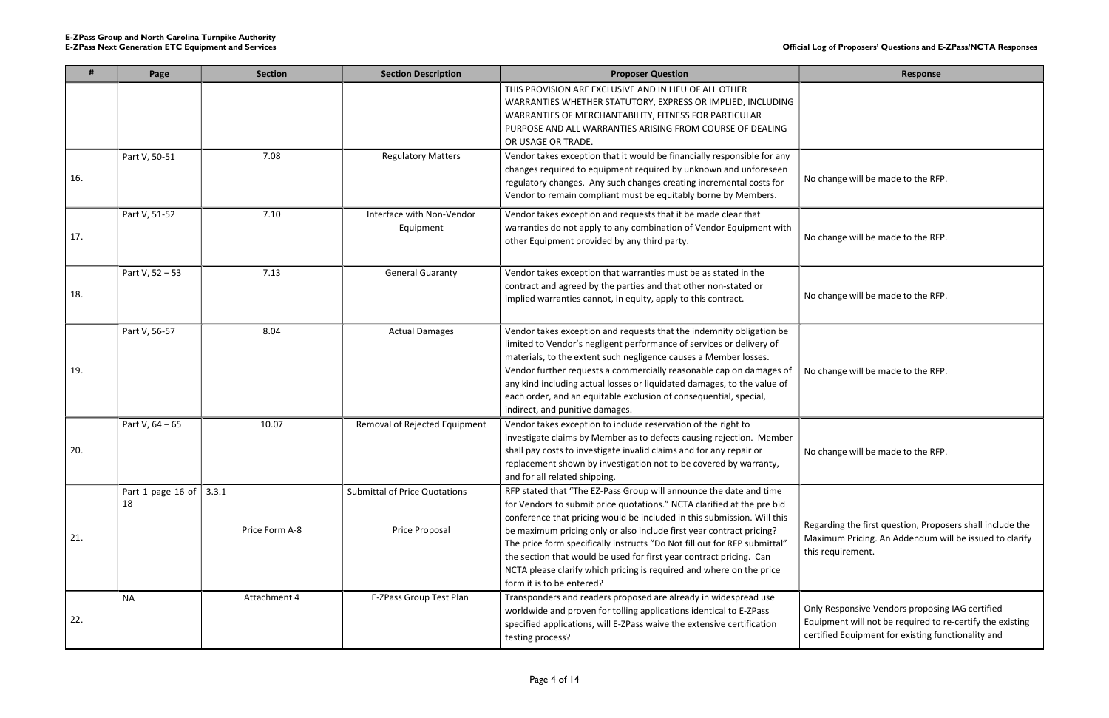|     | Page                             | <b>Section</b> | <b>Section Description</b>                             | <b>Proposer Question</b>                                                                                                                                                                                                                                                                                                                                                                                                                                                                                                                                 | Response                                                                                                          |
|-----|----------------------------------|----------------|--------------------------------------------------------|----------------------------------------------------------------------------------------------------------------------------------------------------------------------------------------------------------------------------------------------------------------------------------------------------------------------------------------------------------------------------------------------------------------------------------------------------------------------------------------------------------------------------------------------------------|-------------------------------------------------------------------------------------------------------------------|
|     |                                  |                |                                                        | THIS PROVISION ARE EXCLUSIVE AND IN LIEU OF ALL OTHER<br>WARRANTIES WHETHER STATUTORY, EXPRESS OR IMPLIED, INCLUDING<br>WARRANTIES OF MERCHANTABILITY, FITNESS FOR PARTICULAR<br>PURPOSE AND ALL WARRANTIES ARISING FROM COURSE OF DEALING<br>OR USAGE OR TRADE.                                                                                                                                                                                                                                                                                         |                                                                                                                   |
| 16. | Part V, 50-51                    | 7.08           | <b>Regulatory Matters</b>                              | Vendor takes exception that it would be financially responsible for any<br>changes required to equipment required by unknown and unforeseen<br>regulatory changes. Any such changes creating incremental costs for<br>Vendor to remain compliant must be equitably borne by Members.                                                                                                                                                                                                                                                                     | No change will be made to the RFP.                                                                                |
| 17. | Part V, 51-52                    | 7.10           | Interface with Non-Vendor<br>Equipment                 | Vendor takes exception and requests that it be made clear that<br>warranties do not apply to any combination of Vendor Equipment with<br>other Equipment provided by any third party.                                                                                                                                                                                                                                                                                                                                                                    | No change will be made to the RFP.                                                                                |
| 18. | Part V, 52 - 53                  | 7.13           | <b>General Guaranty</b>                                | Vendor takes exception that warranties must be as stated in the<br>contract and agreed by the parties and that other non-stated or<br>implied warranties cannot, in equity, apply to this contract.                                                                                                                                                                                                                                                                                                                                                      | No change will be made to the RFP.                                                                                |
| 19. | Part V, 56-57                    | 8.04           | <b>Actual Damages</b>                                  | Vendor takes exception and requests that the indemnity obligation be<br>limited to Vendor's negligent performance of services or delivery of<br>materials, to the extent such negligence causes a Member losses.<br>Vendor further requests a commercially reasonable cap on damages of<br>any kind including actual losses or liquidated damages, to the value of<br>each order, and an equitable exclusion of consequential, special,<br>indirect, and punitive damages.                                                                               | No change will be made to the RFP.                                                                                |
| 20. | Part V, 64 - 65                  | 10.07          | Removal of Rejected Equipment                          | Vendor takes exception to include reservation of the right to<br>investigate claims by Member as to defects causing rejection. Member<br>shall pay costs to investigate invalid claims and for any repair or<br>replacement shown by investigation not to be covered by warranty,<br>and for all related shipping.                                                                                                                                                                                                                                       | No change will be made to the RFP.                                                                                |
| 21. | Part 1 page 16 of $ 3.3.1$<br>18 | Price Form A-8 | <b>Submittal of Price Quotations</b><br>Price Proposal | RFP stated that "The EZ-Pass Group will announce the date and time<br>for Vendors to submit price quotations." NCTA clarified at the pre bid<br>conference that pricing would be included in this submission. Will this<br>be maximum pricing only or also include first year contract pricing?<br>The price form specifically instructs "Do Not fill out for RFP submittal"<br>the section that would be used for first year contract pricing. Can<br>NCTA please clarify which pricing is required and where on the price<br>form it is to be entered? | Regarding the first question, Propos<br>Maximum Pricing. An Addendum w<br>this requirement.                       |
| 22. | <b>NA</b>                        | Attachment 4   | E-ZPass Group Test Plan                                | Transponders and readers proposed are already in widespread use<br>worldwide and proven for tolling applications identical to E-ZPass<br>specified applications, will E-ZPass waive the extensive certification<br>testing process?                                                                                                                                                                                                                                                                                                                      | Only Responsive Vendors proposing<br>Equipment will not be required to re<br>certified Equipment for existing fun |

| <b>Response</b>                                                                                                                                                    |
|--------------------------------------------------------------------------------------------------------------------------------------------------------------------|
|                                                                                                                                                                    |
| No change will be made to the RFP.                                                                                                                                 |
| No change will be made to the RFP.                                                                                                                                 |
| No change will be made to the RFP.                                                                                                                                 |
| No change will be made to the RFP.                                                                                                                                 |
| No change will be made to the RFP.                                                                                                                                 |
| Regarding the first question, Proposers shall include the<br>Maximum Pricing. An Addendum will be issued to clarify<br>this requirement.                           |
| Only Responsive Vendors proposing IAG certified<br>Equipment will not be required to re-certify the existing<br>certified Equipment for existing functionality and |
|                                                                                                                                                                    |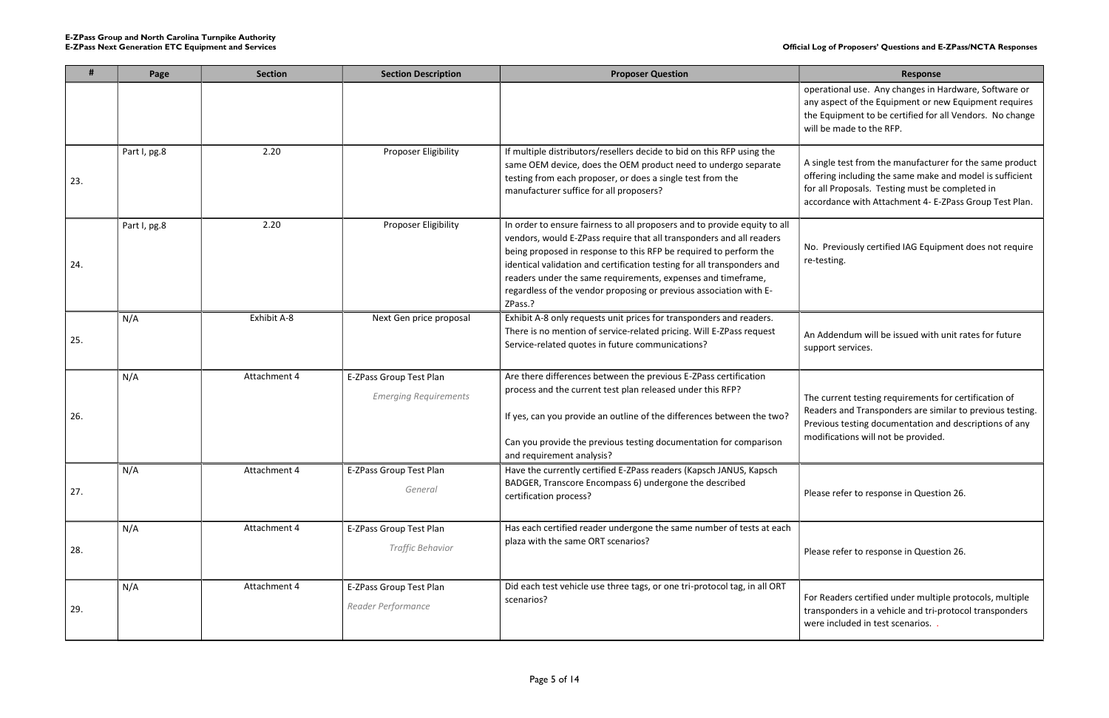| ш | r |
|---|---|
| × |   |

erational use. Any changes in Hardware, Software or aspect of the Equipment or new Equipment requires Equipment to be certified for all Vendors. No change be made to the RFP.

ingle test from the manufacturer for the same product ering including the same make and model is sufficient all Proposals. Testing must be completed in cordance with Attachment 4- E-ZPass Group Test Plan.

Previously certified IAG Equipment does not require testing.

Addendum will be issued with unit rates for future port services.

current testing requirements for certification of aders and Transponders are similar to previous testing. Prious testing documentation and descriptions of any difications will not be provided.

ase refer to response in Question 26.

ase refer to response in Question 26.

Readers certified under multiple protocols, multiple nsponders in a vehicle and tri-protocol transponders re included in test scenarios..

| Ħ   | Page         | <b>Section</b> | <b>Section Description</b>                              | <b>Proposer Question</b>                                                                                                                                                                                                                                                                                                                                                                                                                           | Response                                                                                                                                            |
|-----|--------------|----------------|---------------------------------------------------------|----------------------------------------------------------------------------------------------------------------------------------------------------------------------------------------------------------------------------------------------------------------------------------------------------------------------------------------------------------------------------------------------------------------------------------------------------|-----------------------------------------------------------------------------------------------------------------------------------------------------|
|     |              |                |                                                         |                                                                                                                                                                                                                                                                                                                                                                                                                                                    | operational use. Any changes in H<br>any aspect of the Equipment or ne<br>the Equipment to be certified for a<br>will be made to the RFP.           |
| 23. | Part I, pg.8 | 2.20           | Proposer Eligibility                                    | If multiple distributors/resellers decide to bid on this RFP using the<br>same OEM device, does the OEM product need to undergo separate<br>testing from each proposer, or does a single test from the<br>manufacturer suffice for all proposers?                                                                                                                                                                                                  | A single test from the manufacture<br>offering including the same make a<br>for all Proposals. Testing must be<br>accordance with Attachment 4- E-2 |
| 24. | Part I, pg.8 | 2.20           | Proposer Eligibility                                    | In order to ensure fairness to all proposers and to provide equity to all<br>vendors, would E-ZPass require that all transponders and all readers<br>being proposed in response to this RFP be required to perform the<br>identical validation and certification testing for all transponders and<br>readers under the same requirements, expenses and timeframe,<br>regardless of the vendor proposing or previous association with E-<br>ZPass.? | No. Previously certified IAG Equip<br>re-testing.                                                                                                   |
| 25. | N/A          | Exhibit A-8    | Next Gen price proposal                                 | Exhibit A-8 only requests unit prices for transponders and readers.<br>There is no mention of service-related pricing. Will E-ZPass request<br>Service-related quotes in future communications?                                                                                                                                                                                                                                                    | An Addendum will be issued with u<br>support services.                                                                                              |
| 26. | N/A          | Attachment 4   | E-ZPass Group Test Plan<br><b>Emerging Requirements</b> | Are there differences between the previous E-ZPass certification<br>process and the current test plan released under this RFP?<br>If yes, can you provide an outline of the differences between the two?<br>Can you provide the previous testing documentation for comparison<br>and requirement analysis?                                                                                                                                         | The current testing requirements f<br>Readers and Transponders are sim<br>Previous testing documentation ar<br>modifications will not be provided.  |
| 27. | N/A          | Attachment 4   | E-ZPass Group Test Plan<br>General                      | Have the currently certified E-ZPass readers (Kapsch JANUS, Kapsch<br>BADGER, Transcore Encompass 6) undergone the described<br>certification process?                                                                                                                                                                                                                                                                                             | Please refer to response in Questio                                                                                                                 |
| 28. | N/A          | Attachment 4   | E-ZPass Group Test Plan<br><b>Traffic Behavior</b>      | Has each certified reader undergone the same number of tests at each<br>plaza with the same ORT scenarios?                                                                                                                                                                                                                                                                                                                                         | Please refer to response in Questio                                                                                                                 |
| 29. | N/A          | Attachment 4   | E-ZPass Group Test Plan<br>Reader Performance           | Did each test vehicle use three tags, or one tri-protocol tag, in all ORT<br>scenarios?                                                                                                                                                                                                                                                                                                                                                            | For Readers certified under multip<br>transponders in a vehicle and tri-p<br>were included in test scenarios.                                       |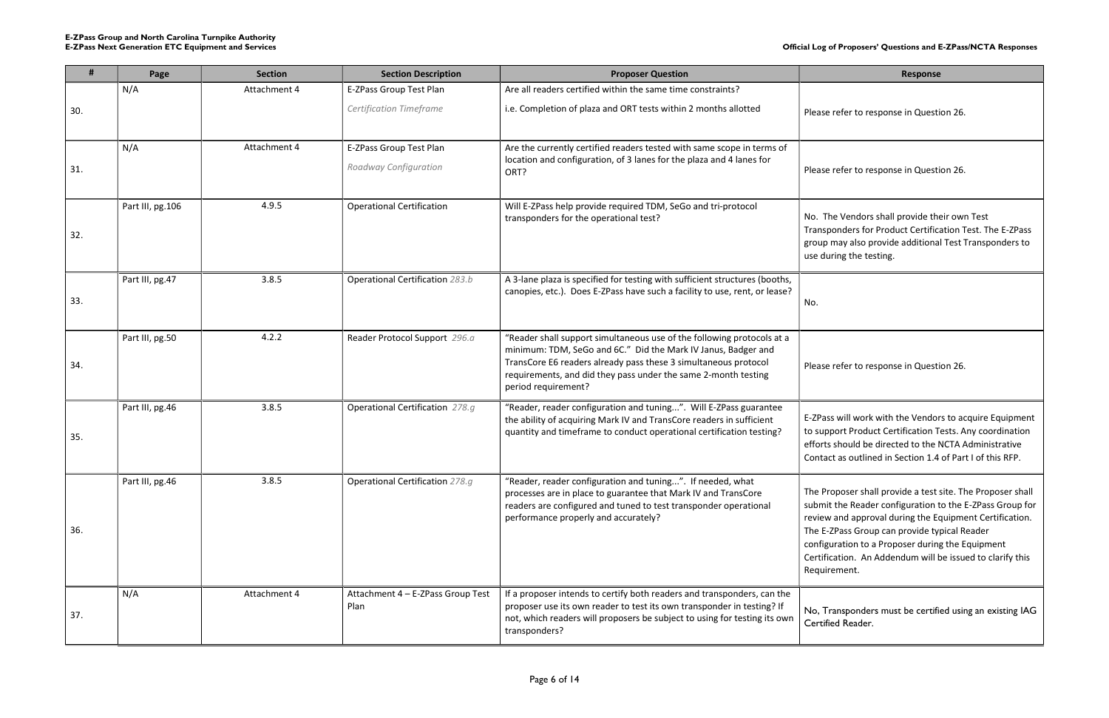|     | Page             | <b>Section</b> | <b>Section Description</b>                       | <b>Proposer Question</b>                                                                                                                                                                                                                                                                            | <b>Response</b>                                                                                                                                                                                                                                                                                                    |
|-----|------------------|----------------|--------------------------------------------------|-----------------------------------------------------------------------------------------------------------------------------------------------------------------------------------------------------------------------------------------------------------------------------------------------------|--------------------------------------------------------------------------------------------------------------------------------------------------------------------------------------------------------------------------------------------------------------------------------------------------------------------|
|     | N/A              | Attachment 4   | E-ZPass Group Test Plan                          | Are all readers certified within the same time constraints?                                                                                                                                                                                                                                         |                                                                                                                                                                                                                                                                                                                    |
| 30. |                  |                | <b>Certification Timeframe</b>                   | i.e. Completion of plaza and ORT tests within 2 months allotted                                                                                                                                                                                                                                     | Please refer to response in Question 26.                                                                                                                                                                                                                                                                           |
| 31. | N/A              | Attachment 4   | E-ZPass Group Test Plan<br>Roadway Configuration | Are the currently certified readers tested with same scope in terms of<br>location and configuration, of 3 lanes for the plaza and 4 lanes for<br>ORT?                                                                                                                                              | Please refer to response in Question 26.                                                                                                                                                                                                                                                                           |
| 32. | Part III, pg.106 | 4.9.5          | <b>Operational Certification</b>                 | Will E-ZPass help provide required TDM, SeGo and tri-protocol<br>transponders for the operational test?                                                                                                                                                                                             | No. The Vendors shall provide their own Test<br>Transponders for Product Certification Test. Th<br>group may also provide additional Test Transp<br>use during the testing.                                                                                                                                        |
| 33. | Part III, pg.47  | 3.8.5          | Operational Certification 283.b                  | A 3-lane plaza is specified for testing with sufficient structures (booths,<br>canopies, etc.). Does E-ZPass have such a facility to use, rent, or lease?                                                                                                                                           | No.                                                                                                                                                                                                                                                                                                                |
| 34. | Part III, pg.50  | 4.2.2          | Reader Protocol Support 296.a                    | "Reader shall support simultaneous use of the following protocols at a<br>minimum: TDM, SeGo and 6C." Did the Mark IV Janus, Badger and<br>TransCore E6 readers already pass these 3 simultaneous protocol<br>requirements, and did they pass under the same 2-month testing<br>period requirement? | Please refer to response in Question 26.                                                                                                                                                                                                                                                                           |
| 35. | Part III, pg.46  | 3.8.5          | Operational Certification 278.g                  | "Reader, reader configuration and tuning". Will E-ZPass guarantee<br>the ability of acquiring Mark IV and TransCore readers in sufficient<br>quantity and timeframe to conduct operational certification testing?                                                                                   | E-ZPass will work with the Vendors to acquire<br>to support Product Certification Tests. Any cod<br>efforts should be directed to the NCTA Admini<br>Contact as outlined in Section 1.4 of Part I of tl                                                                                                            |
| 36. | Part III, pg.46  | 3.8.5          | Operational Certification 278.g                  | "Reader, reader configuration and tuning". If needed, what<br>processes are in place to guarantee that Mark IV and TransCore<br>readers are configured and tuned to test transponder operational<br>performance properly and accurately?                                                            | The Proposer shall provide a test site. The Pro<br>submit the Reader configuration to the E-ZPas<br>review and approval during the Equipment Ce<br>The E-ZPass Group can provide typical Reader<br>configuration to a Proposer during the Equipm<br>Certification. An Addendum will be issued to o<br>Requirement. |
| 37. | N/A              | Attachment 4   | Attachment 4 - E-ZPass Group Test<br>Plan        | If a proposer intends to certify both readers and transponders, can the<br>proposer use its own reader to test its own transponder in testing? If<br>not, which readers will proposers be subject to using for testing its own<br>transponders?                                                     | No, Transponders must be certified using an e<br>Certified Reader.                                                                                                                                                                                                                                                 |

| <b>Response</b>                                                                                                                                                                                                                                                                                                                                    |
|----------------------------------------------------------------------------------------------------------------------------------------------------------------------------------------------------------------------------------------------------------------------------------------------------------------------------------------------------|
| Please refer to response in Question 26.                                                                                                                                                                                                                                                                                                           |
| Please refer to response in Question 26.                                                                                                                                                                                                                                                                                                           |
| No. The Vendors shall provide their own Test<br>Transponders for Product Certification Test. The E-ZPass<br>group may also provide additional Test Transponders to<br>use during the testing.                                                                                                                                                      |
| No.                                                                                                                                                                                                                                                                                                                                                |
| Please refer to response in Question 26.                                                                                                                                                                                                                                                                                                           |
| E-ZPass will work with the Vendors to acquire Equipment<br>to support Product Certification Tests. Any coordination<br>efforts should be directed to the NCTA Administrative<br>Contact as outlined in Section 1.4 of Part I of this RFP.                                                                                                          |
| The Proposer shall provide a test site. The Proposer shall<br>submit the Reader configuration to the E-ZPass Group for<br>review and approval during the Equipment Certification.<br>The E-ZPass Group can provide typical Reader<br>configuration to a Proposer during the Equipment<br>Certification. An Addendum will be issued to clarify this |

 $b$ , Transponders must be certified using an existing IAG ertified Reader.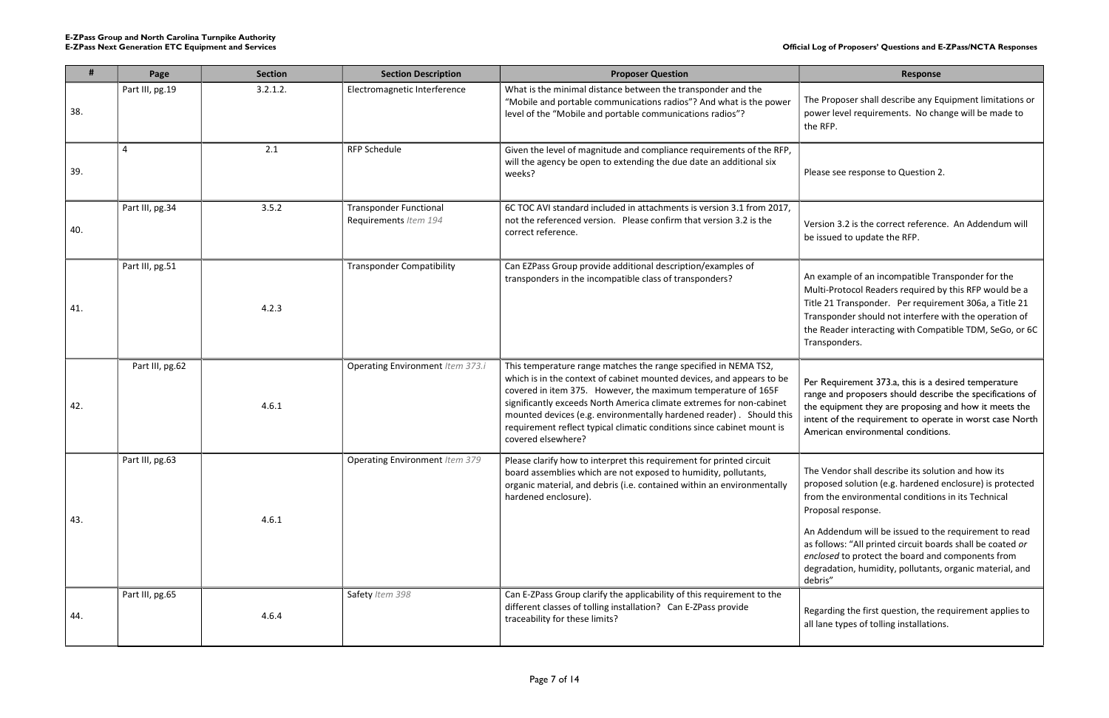Proposer shall describe any Equipment limitations or wer level requirements. No change will be made to  $RFP.$ 

rsion 3.2 is the correct reference. An Addendum will issued to update the RFP.

example of an incompatible Transponder for the Iti-Protocol Readers required by this RFP would be a le 21 Transponder. Per requirement 306a, a Title 21 Insponder should not interfere with the operation of Reader interacting with Compatible TDM, SeGo, or 6C Transponders.

Requirement 373.a, this is a desired temperature rge and proposers should describe the specifications of equipment they are proposing and how it meets the ent of the requirement to operate in worst case North nerican environmental conditions.

Vendor shall describe its solution and how its pposed solution (e.g. hardened enclosure) is protected m the environmental conditions in its Technical posal response.

Addendum will be issued to the requirement to read follows: "All printed circuit boards shall be coated or closed to protect the board and components from gradation, humidity, pollutants, organic material, and pris"

garding the first question, the requirement applies to lane types of tolling installations.

| #   | Page            | <b>Section</b> | <b>Section Description</b>                             | <b>Proposer Question</b>                                                                                                                                                                                                                                                                                                                                                                                                                                  | <b>Response</b>                                                                                                                                                                                         |
|-----|-----------------|----------------|--------------------------------------------------------|-----------------------------------------------------------------------------------------------------------------------------------------------------------------------------------------------------------------------------------------------------------------------------------------------------------------------------------------------------------------------------------------------------------------------------------------------------------|---------------------------------------------------------------------------------------------------------------------------------------------------------------------------------------------------------|
| 38. | Part III, pg.19 | 3.2.1.2.       | Electromagnetic Interference                           | What is the minimal distance between the transponder and the<br>"Mobile and portable communications radios"? And what is the power<br>level of the "Mobile and portable communications radios"?                                                                                                                                                                                                                                                           | The Proposer shall describe any Eq<br>power level requirements. No cha<br>the RFP.                                                                                                                      |
| 39. |                 | 2.1            | <b>RFP Schedule</b>                                    | Given the level of magnitude and compliance requirements of the RFP,<br>will the agency be open to extending the due date an additional six<br>weeks?                                                                                                                                                                                                                                                                                                     | Please see response to Question 2                                                                                                                                                                       |
| 40. | Part III, pg.34 | 3.5.2          | <b>Transponder Functional</b><br>Requirements Item 194 | 6C TOC AVI standard included in attachments is version 3.1 from 2017,<br>not the referenced version. Please confirm that version 3.2 is the<br>correct reference.                                                                                                                                                                                                                                                                                         | Version 3.2 is the correct reference<br>be issued to update the RFP.                                                                                                                                    |
| 41. | Part III, pg.51 | 4.2.3          | <b>Transponder Compatibility</b>                       | Can EZPass Group provide additional description/examples of<br>transponders in the incompatible class of transponders?                                                                                                                                                                                                                                                                                                                                    | An example of an incompatible Tra<br>Multi-Protocol Readers required b<br>Title 21 Transponder. Per require<br>Transponder should not interfere v<br>the Reader interacting with Compa<br>Transponders. |
| 42. | Part III, pg.62 | 4.6.1          | Operating Environment Item 373.i                       | This temperature range matches the range specified in NEMA TS2,<br>which is in the context of cabinet mounted devices, and appears to be<br>covered in item 375. However, the maximum temperature of 165F<br>significantly exceeds North America climate extremes for non-cabinet<br>mounted devices (e.g. environmentally hardened reader) . Should this<br>requirement reflect typical climatic conditions since cabinet mount is<br>covered elsewhere? | Per Requirement 373.a, this is a de<br>range and proposers should descri<br>the equipment they are proposing<br>intent of the requirement to opera<br>American environmental condition                  |
|     | Part III, pg.63 | 4.6.1          | Operating Environment Item 379                         | Please clarify how to interpret this requirement for printed circuit<br>board assemblies which are not exposed to humidity, pollutants,<br>organic material, and debris (i.e. contained within an environmentally<br>hardened enclosure).                                                                                                                                                                                                                 | The Vendor shall describe its soluti<br>proposed solution (e.g. hardened e<br>from the environmental conditions<br>Proposal response.                                                                   |
| 43. |                 |                |                                                        |                                                                                                                                                                                                                                                                                                                                                                                                                                                           | An Addendum will be issued to the<br>as follows: "All printed circuit boar<br>enclosed to protect the board and<br>degradation, humidity, pollutants,<br>debris"                                        |
| 44. | Part III, pg.65 | 4.6.4          | Safety Item 398                                        | Can E-ZPass Group clarify the applicability of this requirement to the<br>different classes of tolling installation? Can E-ZPass provide<br>traceability for these limits?                                                                                                                                                                                                                                                                                | Regarding the first question, the re<br>all lane types of tolling installation.                                                                                                                         |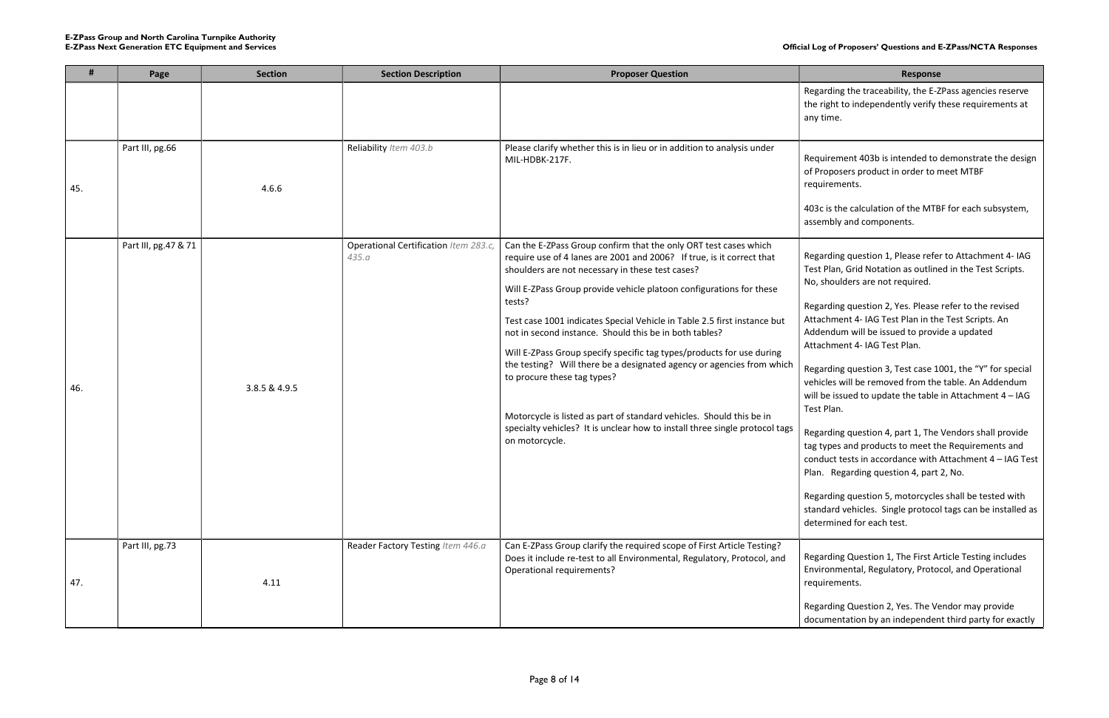| <i>r</i> ficial |  |
|-----------------|--|
|                 |  |

garding the traceability, the E-ZPass agencies reserve right to independently verify these requirements at time.

quirement 403b is intended to demonstrate the design Proposers product in order to meet MTBF quirements.

3c is the calculation of the MTBF for each subsystem, embly and components.

garding question 1, Please refer to Attachment 4- IAG st Plan, Grid Notation as outlined in the Test Scripts. , shoulders are not required.

garding question 2, Yes. Please refer to the revised achment 4- IAG Test Plan in the Test Scripts. An dendum will be issued to provide a updated achment 4- IAG Test Plan.

garding question 3, Test case 1001, the "Y" for special nicles will be removed from the table. An Addendum be issued to update the table in Attachment  $4 - IAG$ st Plan.

garding question 4, part 1, The Vendors shall provide types and products to meet the Requirements and nduct tests in accordance with Attachment 4 - IAG Test n. Regarding question 4, part 2, No.

garding question 5, motorcycles shall be tested with ndard vehicles. Single protocol tags can be installed as termined for each test.

garding Question 1, The First Article Testing includes vironmental, Regulatory, Protocol, and Operational quirements.

garding Question 2, Yes. The Vendor may provide cumentation by an independent third party for exactly

| #   | Page                  | <b>Section</b> | <b>Section Description</b>                     | <b>Proposer Question</b>                                                                                                                                                                                                                                                                                                                                                                                                                                                                                                                                                                                                                                                                                                                                                       | Response                                                                                                                                                                                                                                                                                                                                                                                                                                                                                                                                                                                                                                                         |
|-----|-----------------------|----------------|------------------------------------------------|--------------------------------------------------------------------------------------------------------------------------------------------------------------------------------------------------------------------------------------------------------------------------------------------------------------------------------------------------------------------------------------------------------------------------------------------------------------------------------------------------------------------------------------------------------------------------------------------------------------------------------------------------------------------------------------------------------------------------------------------------------------------------------|------------------------------------------------------------------------------------------------------------------------------------------------------------------------------------------------------------------------------------------------------------------------------------------------------------------------------------------------------------------------------------------------------------------------------------------------------------------------------------------------------------------------------------------------------------------------------------------------------------------------------------------------------------------|
|     |                       |                |                                                |                                                                                                                                                                                                                                                                                                                                                                                                                                                                                                                                                                                                                                                                                                                                                                                | Regarding the traceability, the E-ZI<br>the right to independently verify th<br>any time.                                                                                                                                                                                                                                                                                                                                                                                                                                                                                                                                                                        |
| 45. | Part III, pg.66       | 4.6.6          | Reliability Item 403.b                         | Please clarify whether this is in lieu or in addition to analysis under<br>MIL-HDBK-217F.                                                                                                                                                                                                                                                                                                                                                                                                                                                                                                                                                                                                                                                                                      | Requirement 403b is intended to c<br>of Proposers product in order to m<br>requirements.<br>403c is the calculation of the MTBI<br>assembly and components.                                                                                                                                                                                                                                                                                                                                                                                                                                                                                                      |
| 46. | Part III, pg. 47 & 71 | 3.8.5 & 4.9.5  | Operational Certification Item 283.c,<br>435.a | Can the E-ZPass Group confirm that the only ORT test cases which<br>require use of 4 lanes are 2001 and 2006? If true, is it correct that<br>shoulders are not necessary in these test cases?<br>Will E-ZPass Group provide vehicle platoon configurations for these<br>tests?<br>Test case 1001 indicates Special Vehicle in Table 2.5 first instance but<br>not in second instance. Should this be in both tables?<br>Will E-ZPass Group specify specific tag types/products for use during<br>the testing? Will there be a designated agency or agencies from which<br>to procure these tag types?<br>Motorcycle is listed as part of standard vehicles. Should this be in<br>specialty vehicles? It is unclear how to install three single protocol tags<br>on motorcycle. | Regarding question 1, Please refer<br>Test Plan, Grid Notation as outline<br>No, shoulders are not required.<br>Regarding question 2, Yes. Please r<br>Attachment 4- IAG Test Plan in the<br>Addendum will be issued to provid<br>Attachment 4- IAG Test Plan.<br>Regarding question 3, Test case 10<br>vehicles will be removed from the<br>will be issued to update the table i<br>Test Plan.<br>Regarding question 4, part 1, The \<br>tag types and products to meet the<br>conduct tests in accordance with A<br>Plan. Regarding question 4, part 2<br>Regarding question 5, motorcycles<br>standard vehicles. Single protocol<br>determined for each test. |
| 47. | Part III, pg.73       | 4.11           | Reader Factory Testing Item 446.a              | Can E-ZPass Group clarify the required scope of First Article Testing?<br>Does it include re-test to all Environmental, Regulatory, Protocol, and<br>Operational requirements?                                                                                                                                                                                                                                                                                                                                                                                                                                                                                                                                                                                                 | Regarding Question 1, The First Art<br>Environmental, Regulatory, Protoc<br>requirements.<br>Regarding Question 2, Yes. The Ve<br>documentation by an independent                                                                                                                                                                                                                                                                                                                                                                                                                                                                                                |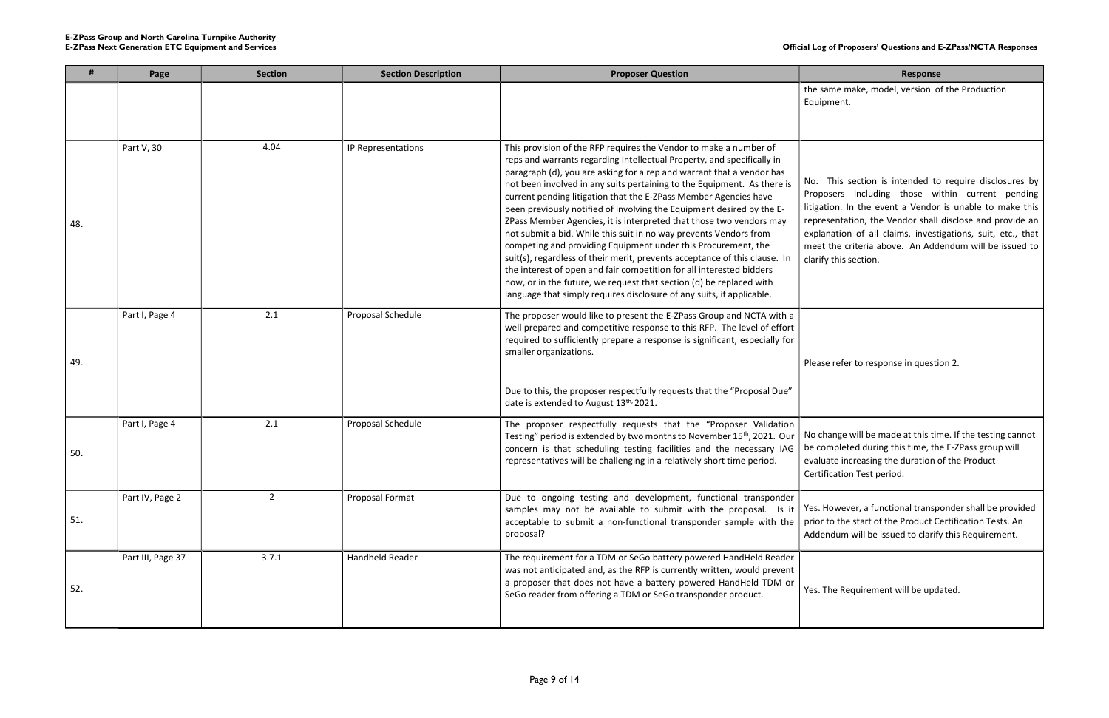same make, model, version of the Production ipment.

This section is intended to require disclosures by posers including those within current pending ation. In the event a Vendor is unable to make this resentation, the Vendor shall disclose and provide an lanation of all claims, investigations, suit, etc., that et the criteria above. An Addendum will be issued to ify this section.

ase refer to response in question 2.

change will be made at this time. If the testing cannot completed during this time, the E-ZPass group will luate increasing the duration of the Product tification Test period.

. However, a functional transponder shall be provided or to the start of the Product Certification Tests. An lendum will be issued to clarify this Requirement.

. The Requirement will be updated.

|     | Page              | <b>Section</b> | <b>Section Description</b> | <b>Proposer Question</b>                                                                                                                                                                                                                                                                                                                                                                                                                                                                                                                                                                                                                                                                                                                                                                                                                                                                                                                                        | <b>Response</b>                                                                                                                                                                                                                                 |
|-----|-------------------|----------------|----------------------------|-----------------------------------------------------------------------------------------------------------------------------------------------------------------------------------------------------------------------------------------------------------------------------------------------------------------------------------------------------------------------------------------------------------------------------------------------------------------------------------------------------------------------------------------------------------------------------------------------------------------------------------------------------------------------------------------------------------------------------------------------------------------------------------------------------------------------------------------------------------------------------------------------------------------------------------------------------------------|-------------------------------------------------------------------------------------------------------------------------------------------------------------------------------------------------------------------------------------------------|
|     |                   |                |                            |                                                                                                                                                                                                                                                                                                                                                                                                                                                                                                                                                                                                                                                                                                                                                                                                                                                                                                                                                                 | the same make, model, version of<br>Equipment.                                                                                                                                                                                                  |
| 48. | Part V, 30        | 4.04           | IP Representations         | This provision of the RFP requires the Vendor to make a number of<br>reps and warrants regarding Intellectual Property, and specifically in<br>paragraph (d), you are asking for a rep and warrant that a vendor has<br>not been involved in any suits pertaining to the Equipment. As there is<br>current pending litigation that the E-ZPass Member Agencies have<br>been previously notified of involving the Equipment desired by the E-<br>ZPass Member Agencies, it is interpreted that those two vendors may<br>not submit a bid. While this suit in no way prevents Vendors from<br>competing and providing Equipment under this Procurement, the<br>suit(s), regardless of their merit, prevents acceptance of this clause. In<br>the interest of open and fair competition for all interested bidders<br>now, or in the future, we request that section (d) be replaced with<br>language that simply requires disclosure of any suits, if applicable. | No. This section is intended to<br>Proposers including those wit<br>litigation. In the event a Vendor<br>representation, the Vendor shall o<br>explanation of all claims, investig<br>meet the criteria above. An Adde<br>clarify this section. |
| 49. | Part I, Page 4    | 2.1            | Proposal Schedule          | The proposer would like to present the E-ZPass Group and NCTA with a<br>well prepared and competitive response to this RFP. The level of effort<br>required to sufficiently prepare a response is significant, especially for<br>smaller organizations.<br>Due to this, the proposer respectfully requests that the "Proposal Due"                                                                                                                                                                                                                                                                                                                                                                                                                                                                                                                                                                                                                              | Please refer to response in questio                                                                                                                                                                                                             |
| 50. | Part I, Page 4    | 2.1            | Proposal Schedule          | date is extended to August 13th, 2021.<br>The proposer respectfully requests that the "Proposer Validation<br>Testing" period is extended by two months to November 15 <sup>th</sup> , 2021. Our<br>concern is that scheduling testing facilities and the necessary IAG<br>representatives will be challenging in a relatively short time period.                                                                                                                                                                                                                                                                                                                                                                                                                                                                                                                                                                                                               | No change will be made at this tim<br>be completed during this time, the<br>evaluate increasing the duration of<br>Certification Test period.                                                                                                   |
| 51. | Part IV, Page 2   | $\overline{2}$ | Proposal Format            | Due to ongoing testing and development, functional transponder<br>samples may not be available to submit with the proposal. Is it<br>acceptable to submit a non-functional transponder sample with the<br>proposal?                                                                                                                                                                                                                                                                                                                                                                                                                                                                                                                                                                                                                                                                                                                                             | Yes. However, a functional transpo<br>prior to the start of the Product Ce<br>Addendum will be issued to clarify                                                                                                                                |
| 52. | Part III, Page 37 | 3.7.1          | Handheld Reader            | The requirement for a TDM or SeGo battery powered HandHeld Reader<br>was not anticipated and, as the RFP is currently written, would prevent<br>a proposer that does not have a battery powered HandHeld TDM or<br>SeGo reader from offering a TDM or SeGo transponder product.                                                                                                                                                                                                                                                                                                                                                                                                                                                                                                                                                                                                                                                                                 | Yes. The Requirement will be upda                                                                                                                                                                                                               |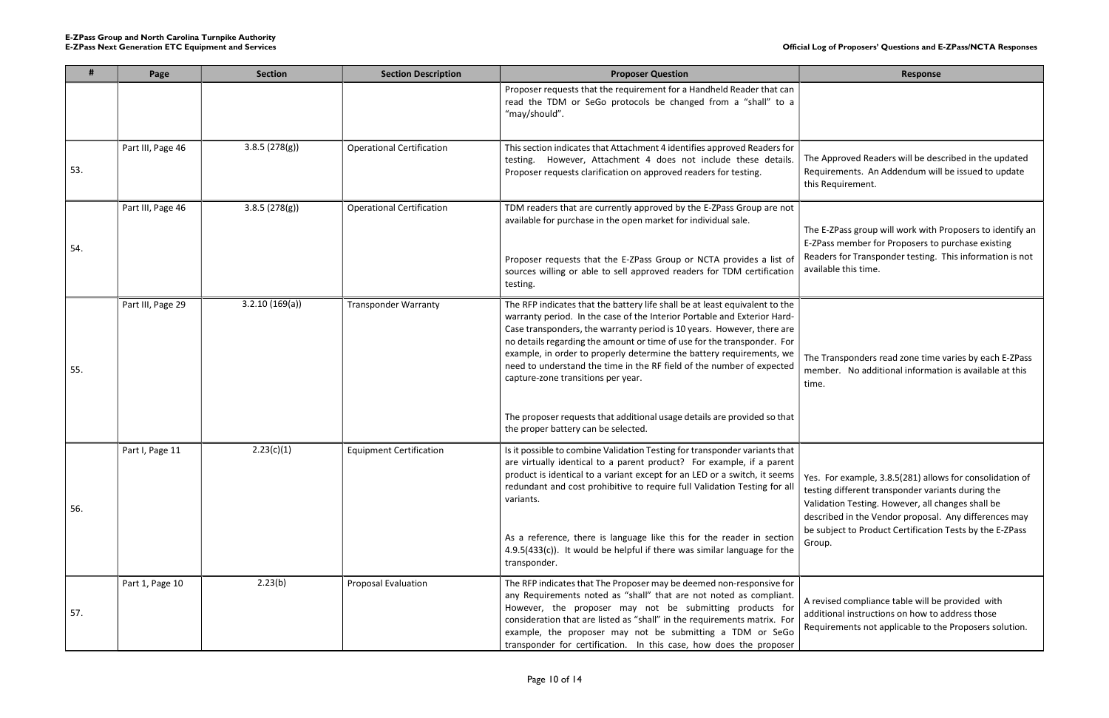| Response |  |
|----------|--|
|----------|--|

e Approved Readers will be described in the updated quirements. An Addendum will be issued to update is Requirement.

e E-ZPass group will work with Proposers to identify an ZPass member for Proposers to purchase existing aders for Transponder testing. This information is not ailable this time.

e Transponders read zone time varies by each E-ZPass ember. No additional information is available at this ie.

s. For example, 3.8.5(281) allows for consolidation of ting different transponder variants during the lidation Testing. However, all changes shall be scribed in the Vendor proposal. Any differences may subject to Product Certification Tests by the E-ZPass oup.

evised compliance table will be provided with ditional instructions on how to address those quirements not applicable to the Proposers solution.

|     | Page              | <b>Section</b> | <b>Section Description</b>       | <b>Proposer Question</b>                                                                                                                                                                                                                                                                                                                                                                                                                                                                            | <b>Response</b>                                                                                                                                       |
|-----|-------------------|----------------|----------------------------------|-----------------------------------------------------------------------------------------------------------------------------------------------------------------------------------------------------------------------------------------------------------------------------------------------------------------------------------------------------------------------------------------------------------------------------------------------------------------------------------------------------|-------------------------------------------------------------------------------------------------------------------------------------------------------|
|     |                   |                |                                  | Proposer requests that the requirement for a Handheld Reader that can<br>read the TDM or SeGo protocols be changed from a "shall" to a<br>"may/should".                                                                                                                                                                                                                                                                                                                                             |                                                                                                                                                       |
| 53. | Part III, Page 46 | 3.8.5(278(g))  | <b>Operational Certification</b> | This section indicates that Attachment 4 identifies approved Readers for<br>testing. However, Attachment 4 does not include these details.<br>Proposer requests clarification on approved readers for testing.                                                                                                                                                                                                                                                                                      | The Approved Readers will be deso<br>Requirements. An Addendum will<br>this Requirement.                                                              |
| 54. | Part III, Page 46 | 3.8.5(278(g))  | <b>Operational Certification</b> | TDM readers that are currently approved by the E-ZPass Group are not<br>available for purchase in the open market for individual sale.<br>Proposer requests that the E-ZPass Group or NCTA provides a list of<br>sources willing or able to sell approved readers for TDM certification<br>testing.                                                                                                                                                                                                 | The E-ZPass group will work with P<br>E-ZPass member for Proposers to p<br>Readers for Transponder testing.<br>available this time.                   |
| 55. | Part III, Page 29 | 3.2.10(169(a)) | <b>Transponder Warranty</b>      | The RFP indicates that the battery life shall be at least equivalent to the<br>warranty period. In the case of the Interior Portable and Exterior Hard-<br>Case transponders, the warranty period is 10 years. However, there are<br>no details regarding the amount or time of use for the transponder. For<br>example, in order to properly determine the battery requirements, we<br>need to understand the time in the RF field of the number of expected<br>capture-zone transitions per year. | The Transponders read zone time<br>member. No additional information<br>time.                                                                         |
|     |                   |                |                                  | The proposer requests that additional usage details are provided so that<br>the proper battery can be selected.                                                                                                                                                                                                                                                                                                                                                                                     |                                                                                                                                                       |
| 56. | Part I, Page 11   | 2.23(c)(1)     | <b>Equipment Certification</b>   | Is it possible to combine Validation Testing for transponder variants that<br>are virtually identical to a parent product? For example, if a parent<br>product is identical to a variant except for an LED or a switch, it seems<br>redundant and cost prohibitive to require full Validation Testing for all<br>variants.                                                                                                                                                                          | Yes. For example, 3.8.5(281) allow<br>testing different transponder varia<br>Validation Testing. However, all ch<br>described in the Vendor proposal. |
|     |                   |                |                                  | As a reference, there is language like this for the reader in section<br>$(4.9.5(433(c))$ . It would be helpful if there was similar language for the<br>transponder.                                                                                                                                                                                                                                                                                                                               | be subject to Product Certification<br>Group.                                                                                                         |
| 57. | Part 1, Page 10   | 2.23(b)        | <b>Proposal Evaluation</b>       | The RFP indicates that The Proposer may be deemed non-responsive for<br>any Requirements noted as "shall" that are not noted as compliant.<br>However, the proposer may not be submitting products for<br>consideration that are listed as "shall" in the requirements matrix. For<br>example, the proposer may not be submitting a TDM or SeGo<br>transponder for certification. In this case, how does the proposer                                                                               | A revised compliance table will be<br>additional instructions on how to a<br>Requirements not applicable to the                                       |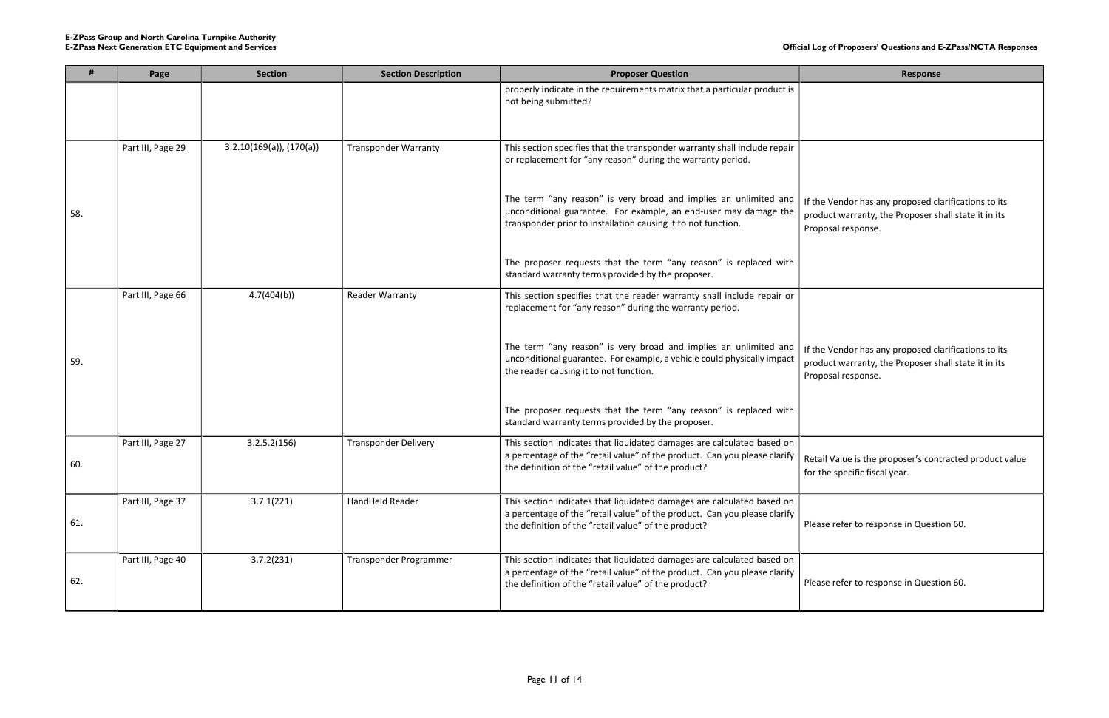|     | Page              | <b>Section</b>           | <b>Section Description</b>  | <b>Proposer Question</b>                                                                                                                                                                                    | <b>Response</b>                                                                                              |
|-----|-------------------|--------------------------|-----------------------------|-------------------------------------------------------------------------------------------------------------------------------------------------------------------------------------------------------------|--------------------------------------------------------------------------------------------------------------|
|     |                   |                          |                             | properly indicate in the requirements matrix that a particular product is<br>not being submitted?                                                                                                           |                                                                                                              |
|     | Part III, Page 29 | 3.2.10(169(a)), (170(a)) | <b>Transponder Warranty</b> | This section specifies that the transponder warranty shall include repair<br>or replacement for "any reason" during the warranty period.                                                                    |                                                                                                              |
| 58. |                   |                          |                             | The term "any reason" is very broad and implies an unlimited and<br>unconditional guarantee. For example, an end-user may damage the<br>transponder prior to installation causing it to not function.       | If the Vendor has any proposed clarificat<br>product warranty, the Proposer shall stat<br>Proposal response. |
|     |                   |                          |                             | The proposer requests that the term "any reason" is replaced with<br>standard warranty terms provided by the proposer.                                                                                      |                                                                                                              |
|     | Part III, Page 66 | 4.7(404(b))              | <b>Reader Warranty</b>      | This section specifies that the reader warranty shall include repair or<br>replacement for "any reason" during the warranty period.                                                                         |                                                                                                              |
| 59. |                   |                          |                             | The term "any reason" is very broad and implies an unlimited and<br>unconditional guarantee. For example, a vehicle could physically impact<br>the reader causing it to not function.                       | If the Vendor has any proposed clarificat<br>product warranty, the Proposer shall stat<br>Proposal response. |
|     |                   |                          |                             | The proposer requests that the term "any reason" is replaced with<br>standard warranty terms provided by the proposer.                                                                                      |                                                                                                              |
| 60. | Part III, Page 27 | 3.2.5.2(156)             | <b>Transponder Delivery</b> | This section indicates that liquidated damages are calculated based on<br>a percentage of the "retail value" of the product. Can you please clarify<br>the definition of the "retail value" of the product? | Retail Value is the proposer's contracted<br>for the specific fiscal year.                                   |
| 61. | Part III, Page 37 | 3.7.1(221)               | HandHeld Reader             | This section indicates that liquidated damages are calculated based on<br>a percentage of the "retail value" of the product. Can you please clarify<br>the definition of the "retail value" of the product? | Please refer to response in Question 60.                                                                     |
| 62. | Part III, Page 40 | 3.7.2(231)               | Transponder Programmer      | This section indicates that liquidated damages are calculated based on<br>a percentage of the "retail value" of the product. Can you please clarify<br>the definition of the "retail value" of the product? | Please refer to response in Question 60.                                                                     |

| <b>Response</b>                                                                                                                    |
|------------------------------------------------------------------------------------------------------------------------------------|
|                                                                                                                                    |
| If the Vendor has any proposed clarifications to its<br>product warranty, the Proposer shall state it in its<br>Proposal response. |
| If the Vendor has any proposed clarifications to its<br>product warranty, the Proposer shall state it in its<br>Proposal response. |
| Retail Value is the proposer's contracted product value<br>for the specific fiscal year.                                           |
| Please refer to response in Question 60.                                                                                           |
| Please refer to response in Question 60.                                                                                           |
|                                                                                                                                    |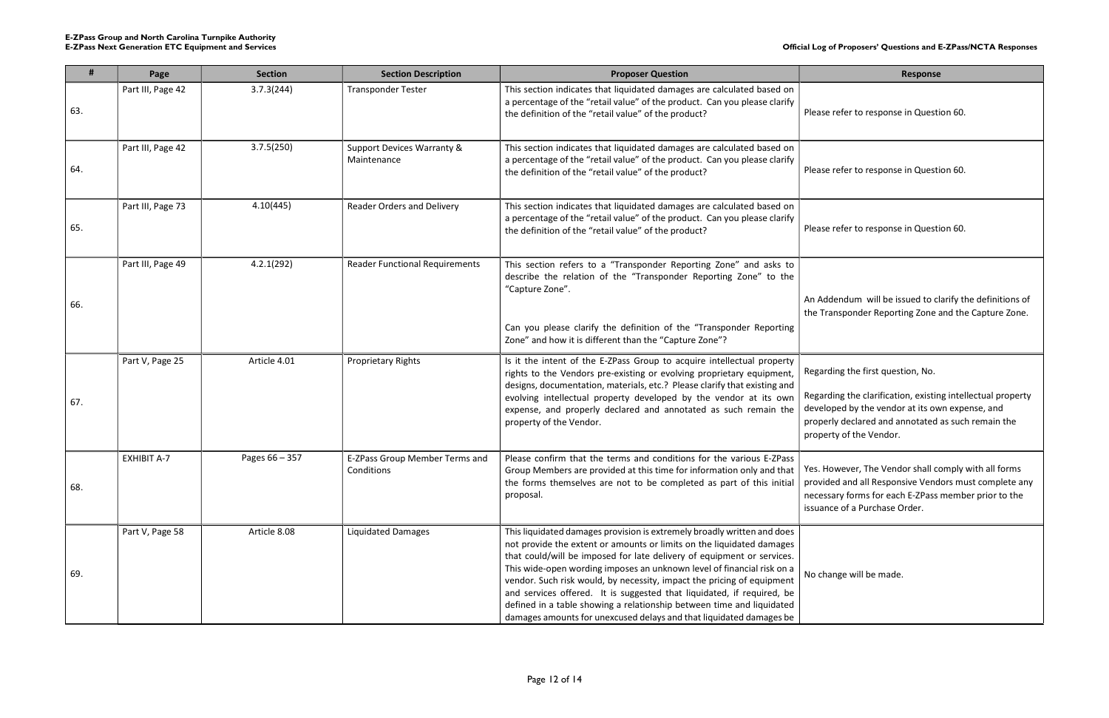| #   | Page               | <b>Section</b> | <b>Section Description</b>                   | <b>Proposer Question</b>                                                                                                                                                                                                                                                                                                                                                                                                                                                                                                                                                                                 | <b>Response</b>                                                                                                                                                                                    |
|-----|--------------------|----------------|----------------------------------------------|----------------------------------------------------------------------------------------------------------------------------------------------------------------------------------------------------------------------------------------------------------------------------------------------------------------------------------------------------------------------------------------------------------------------------------------------------------------------------------------------------------------------------------------------------------------------------------------------------------|----------------------------------------------------------------------------------------------------------------------------------------------------------------------------------------------------|
| 63. | Part III, Page 42  | 3.7.3(244)     | <b>Transponder Tester</b>                    | This section indicates that liquidated damages are calculated based on<br>a percentage of the "retail value" of the product. Can you please clarify<br>the definition of the "retail value" of the product?                                                                                                                                                                                                                                                                                                                                                                                              | Please refer to response in Question 60.                                                                                                                                                           |
| 64. | Part III, Page 42  | 3.7.5(250)     | Support Devices Warranty &<br>Maintenance    | This section indicates that liquidated damages are calculated based on<br>a percentage of the "retail value" of the product. Can you please clarify<br>the definition of the "retail value" of the product?                                                                                                                                                                                                                                                                                                                                                                                              | Please refer to response in Question 60.                                                                                                                                                           |
| 65. | Part III, Page 73  | 4.10(445)      | <b>Reader Orders and Delivery</b>            | This section indicates that liquidated damages are calculated based on<br>a percentage of the "retail value" of the product. Can you please clarify<br>the definition of the "retail value" of the product?                                                                                                                                                                                                                                                                                                                                                                                              | Please refer to response in Question 60.                                                                                                                                                           |
| 66. | Part III, Page 49  | 4.2.1(292)     | <b>Reader Functional Requirements</b>        | This section refers to a "Transponder Reporting Zone" and asks to<br>describe the relation of the "Transponder Reporting Zone" to the<br>"Capture Zone".<br>Can you please clarify the definition of the "Transponder Reporting<br>Zone" and how it is different than the "Capture Zone"?                                                                                                                                                                                                                                                                                                                | An Addendum will be issued to clarify th<br>the Transponder Reporting Zone and the                                                                                                                 |
| 67. | Part V, Page 25    | Article 4.01   | <b>Proprietary Rights</b>                    | Is it the intent of the E-ZPass Group to acquire intellectual property<br>rights to the Vendors pre-existing or evolving proprietary equipment,<br>designs, documentation, materials, etc.? Please clarify that existing and<br>evolving intellectual property developed by the vendor at its own<br>expense, and properly declared and annotated as such remain the<br>property of the Vendor.                                                                                                                                                                                                          | Regarding the first question, No.<br>Regarding the clarification, existing intell<br>developed by the vendor at its own expe<br>properly declared and annotated as such<br>property of the Vendor. |
| 68. | <b>EXHIBIT A-7</b> | Pages 66 - 357 | E-ZPass Group Member Terms and<br>Conditions | Please confirm that the terms and conditions for the various E-ZPass<br>Group Members are provided at this time for information only and that<br>the forms themselves are not to be completed as part of this initial<br>proposal.                                                                                                                                                                                                                                                                                                                                                                       | Yes. However, The Vendor shall comply v<br>provided and all Responsive Vendors mu<br>necessary forms for each E-ZPass membe<br>issuance of a Purchase Order.                                       |
| 69. | Part V, Page 58    | Article 8.08   | <b>Liquidated Damages</b>                    | This liquidated damages provision is extremely broadly written and does<br>not provide the extent or amounts or limits on the liquidated damages<br>that could/will be imposed for late delivery of equipment or services.<br>This wide-open wording imposes an unknown level of financial risk on a<br>vendor. Such risk would, by necessity, impact the pricing of equipment<br>and services offered. It is suggested that liquidated, if required, be<br>defined in a table showing a relationship between time and liquidated<br>damages amounts for unexcused delays and that liquidated damages be | No change will be made.                                                                                                                                                                            |

| <b>Response</b>                                                                                                                                                                                        |
|--------------------------------------------------------------------------------------------------------------------------------------------------------------------------------------------------------|
| Please refer to response in Question 60.                                                                                                                                                               |
| Please refer to response in Question 60.                                                                                                                                                               |
| Please refer to response in Question 60.                                                                                                                                                               |
| An Addendum will be issued to clarify the definitions of<br>the Transponder Reporting Zone and the Capture Zone.                                                                                       |
| Regarding the first question, No.                                                                                                                                                                      |
| Regarding the clarification, existing intellectual property<br>developed by the vendor at its own expense, and<br>properly declared and annotated as such remain the<br>property of the Vendor.        |
| Yes. However, The Vendor shall comply with all forms<br>provided and all Responsive Vendors must complete any<br>necessary forms for each E-ZPass member prior to the<br>issuance of a Purchase Order. |
| No change will be made.                                                                                                                                                                                |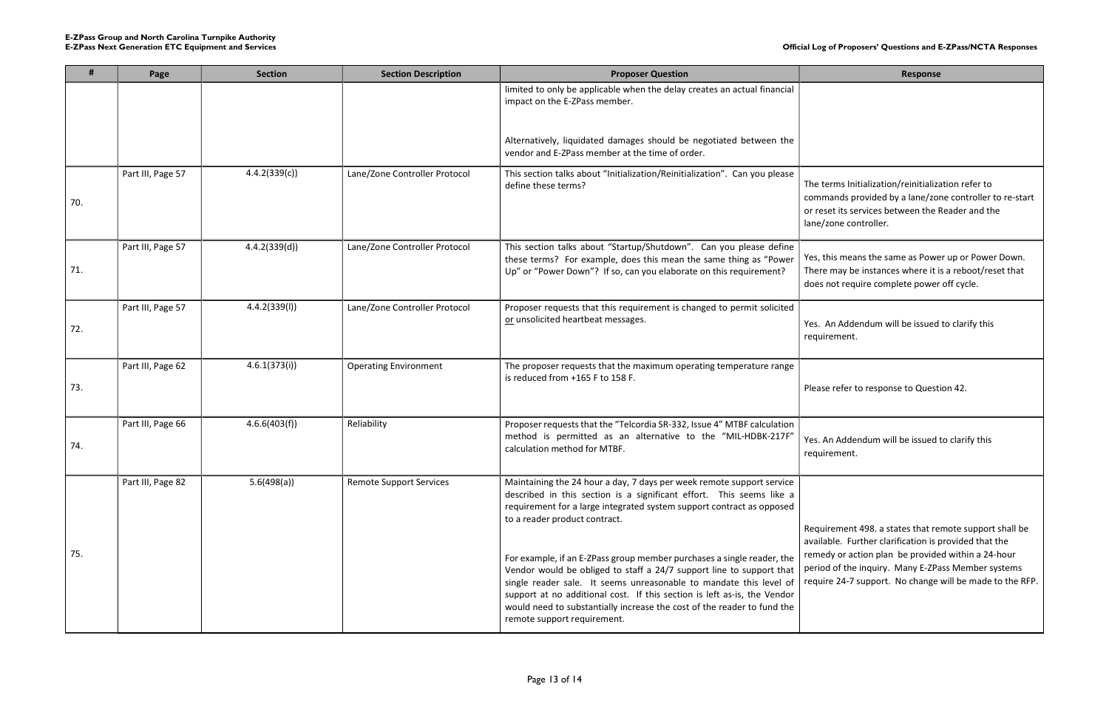|     | Page              | <b>Section</b> | <b>Section Description</b>     | <b>Proposer Question</b>                                                                                                                                                                                                                                                                                                                                                                                   | <b>Response</b>                                                                                                                                                                  |
|-----|-------------------|----------------|--------------------------------|------------------------------------------------------------------------------------------------------------------------------------------------------------------------------------------------------------------------------------------------------------------------------------------------------------------------------------------------------------------------------------------------------------|----------------------------------------------------------------------------------------------------------------------------------------------------------------------------------|
|     |                   |                |                                | limited to only be applicable when the delay creates an actual financial<br>impact on the E-ZPass member.                                                                                                                                                                                                                                                                                                  |                                                                                                                                                                                  |
|     |                   |                |                                | Alternatively, liquidated damages should be negotiated between the<br>vendor and E-ZPass member at the time of order.                                                                                                                                                                                                                                                                                      |                                                                                                                                                                                  |
| 70. | Part III, Page 57 | 4.4.2(339(c))  | Lane/Zone Controller Protocol  | This section talks about "Initialization/Reinitialization". Can you please<br>define these terms?                                                                                                                                                                                                                                                                                                          | The terms Initialization/reinitialization refer to<br>commands provided by a lane/zone controller t<br>or reset its services between the Reader and the<br>lane/zone controller. |
| 71. | Part III, Page 57 | 4.4.2(339(d))  | Lane/Zone Controller Protocol  | This section talks about "Startup/Shutdown". Can you please define<br>these terms? For example, does this mean the same thing as "Power<br>Up" or "Power Down"? If so, can you elaborate on this requirement?                                                                                                                                                                                              | Yes, this means the same as Power up or Power<br>There may be instances where it is a reboot/res<br>does not require complete power off cycle.                                   |
| 72. | Part III, Page 57 | 4.4.2(339(l))  | Lane/Zone Controller Protocol  | Proposer requests that this requirement is changed to permit solicited<br>or unsolicited heartbeat messages.                                                                                                                                                                                                                                                                                               | Yes. An Addendum will be issued to clarify this<br>requirement.                                                                                                                  |
| 73. | Part III, Page 62 | 4.6.1(373(i))  | <b>Operating Environment</b>   | The proposer requests that the maximum operating temperature range<br>is reduced from +165 F to 158 F.                                                                                                                                                                                                                                                                                                     | Please refer to response to Question 42.                                                                                                                                         |
| 74. | Part III, Page 66 | 4.6.6(403(f))  | Reliability                    | Proposer requests that the "Telcordia SR-332, Issue 4" MTBF calculation<br>method is permitted as an alternative to the "MIL-HDBK-217F"<br>calculation method for MTBF.                                                                                                                                                                                                                                    | Yes. An Addendum will be issued to clarify this<br>requirement.                                                                                                                  |
|     | Part III, Page 82 | 5.6(498(a))    | <b>Remote Support Services</b> | Maintaining the 24 hour a day, 7 days per week remote support service<br>described in this section is a significant effort. This seems like a<br>requirement for a large integrated system support contract as opposed<br>to a reader product contract.                                                                                                                                                    | Requirement 498. a states that remote support<br>available. Further clarification is provided that t                                                                             |
| 75. |                   |                |                                | For example, if an E-ZPass group member purchases a single reader, the<br>Vendor would be obliged to staff a 24/7 support line to support that<br>single reader sale. It seems unreasonable to mandate this level of<br>support at no additional cost. If this section is left as-is, the Vendor<br>would need to substantially increase the cost of the reader to fund the<br>remote support requirement. | remedy or action plan be provided within a 24-<br>period of the inquiry. Many E-ZPass Member sy<br>require 24-7 support. No change will be made t                                |

| <b>Response</b>                                                                                                                                                                                                                                                                         |
|-----------------------------------------------------------------------------------------------------------------------------------------------------------------------------------------------------------------------------------------------------------------------------------------|
|                                                                                                                                                                                                                                                                                         |
| The terms Initialization/reinitialization refer to<br>commands provided by a lane/zone controller to re-start<br>or reset its services between the Reader and the<br>lane/zone controller.                                                                                              |
| Yes, this means the same as Power up or Power Down.<br>There may be instances where it is a reboot/reset that<br>does not require complete power off cycle.                                                                                                                             |
| Yes. An Addendum will be issued to clarify this<br>requirement.                                                                                                                                                                                                                         |
| Please refer to response to Question 42.                                                                                                                                                                                                                                                |
| Yes. An Addendum will be issued to clarify this<br>requirement.                                                                                                                                                                                                                         |
| Requirement 498. a states that remote support shall be<br>available. Further clarification is provided that the<br>remedy or action plan be provided within a 24-hour<br>period of the inquiry. Many E-ZPass Member systems<br>require 24-7 support. No change will be made to the RFP. |